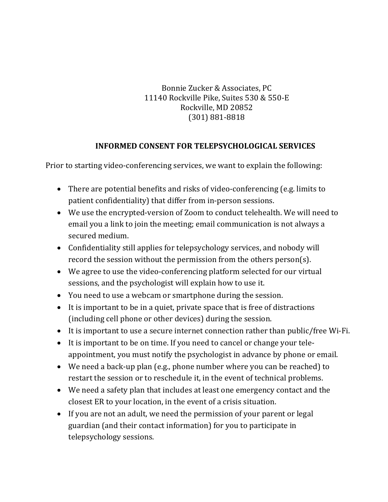Bonnie Zucker & Associates, PC 11140 Rockville Pike, Suites 530 & 550-E Rockville, MD 20852 (301) 881-8818

## **INFORMED CONSENT FOR TELEPSYCHOLOGICAL SERVICES**

Prior to starting video-conferencing services, we want to explain the following:

- There are potential benefits and risks of video-conferencing (e.g. limits to patient confidentiality) that differ from in-person sessions.
- We use the encrypted-version of Zoom to conduct telehealth. We will need to email you a link to join the meeting; email communication is not always a secured medium.
- Confidentiality still applies for telepsychology services, and nobody will record the session without the permission from the others person(s).
- We agree to use the video-conferencing platform selected for our virtual sessions, and the psychologist will explain how to use it.
- You need to use a webcam or smartphone during the session.
- $\bullet$  It is important to be in a quiet, private space that is free of distractions (including cell phone or other devices) during the session.
- It is important to use a secure internet connection rather than public/free Wi-Fi.
- It is important to be on time. If you need to cancel or change your teleappointment, you must notify the psychologist in advance by phone or email.
- We need a back-up plan (e.g., phone number where you can be reached) to restart the session or to reschedule it, in the event of technical problems.
- We need a safety plan that includes at least one emergency contact and the closest ER to your location, in the event of a crisis situation.
- If you are not an adult, we need the permission of your parent or legal guardian (and their contact information) for you to participate in telepsychology sessions.